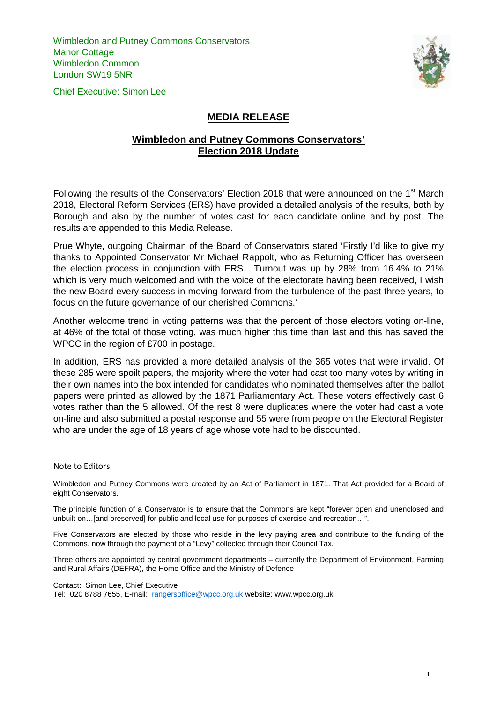Wimbledon and Putney Commons Conservators Manor Cottage Wimbledon Common London SW19 5NR

Chief Executive: Simon Lee



## **MEDIA RELEASE**

## **Wimbledon and Putney Commons Conservators' Election 2018 Update**

Following the results of the Conservators' Election 2018 that were announced on the 1<sup>st</sup> March 2018, Electoral Reform Services (ERS) have provided a detailed analysis of the results, both by Borough and also by the number of votes cast for each candidate online and by post. The results are appended to this Media Release.

Prue Whyte, outgoing Chairman of the Board of Conservators stated 'Firstly I'd like to give my thanks to Appointed Conservator Mr Michael Rappolt, who as Returning Officer has overseen the election process in conjunction with ERS. Turnout was up by 28% from 16.4% to 21% which is very much welcomed and with the voice of the electorate having been received, I wish the new Board every success in moving forward from the turbulence of the past three years, to focus on the future governance of our cherished Commons.'

Another welcome trend in voting patterns was that the percent of those electors voting on-line, at 46% of the total of those voting, was much higher this time than last and this has saved the WPCC in the region of £700 in postage.

In addition, ERS has provided a more detailed analysis of the 365 votes that were invalid. Of these 285 were spoilt papers, the majority where the voter had cast too many votes by writing in their own names into the box intended for candidates who nominated themselves after the ballot papers were printed as allowed by the 1871 Parliamentary Act. These voters effectively cast 6 votes rather than the 5 allowed. Of the rest 8 were duplicates where the voter had cast a vote on-line and also submitted a postal response and 55 were from people on the Electoral Register who are under the age of 18 years of age whose vote had to be discounted.

## Note to Editors

Wimbledon and Putney Commons were created by an Act of Parliament in 1871. That Act provided for a Board of eight Conservators.

The principle function of a Conservator is to ensure that the Commons are kept "forever open and unenclosed and unbuilt on…[and preserved] for public and local use for purposes of exercise and recreation…".

Five Conservators are elected by those who reside in the levy paying area and contribute to the funding of the Commons, now through the payment of a "Levy" collected through their Council Tax.

Three others are appointed by central government departments – currently the Department of Environment, Farming and Rural Affairs (DEFRA), the Home Office and the Ministry of Defence

Contact: Simon Lee, Chief Executive

Tel: 020 8788 7655, E-mail: [rangersoffice@wpcc.org.uk](mailto:rangersoffice@wpcc.org.uk) website: www.wpcc.org.uk